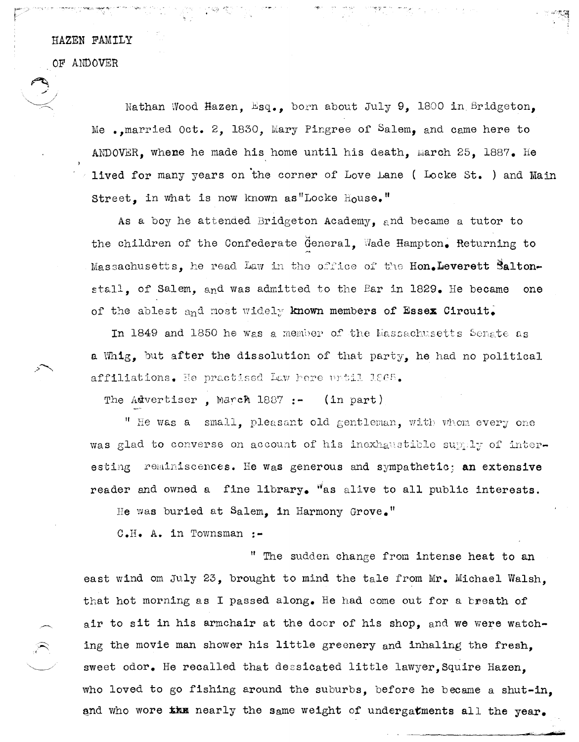## HAZEN FAMILY

ن کې د مخور د مخاطب

OF ANDOVER

 $\sim$ 

.~.

Nathan Wood Hazen, Esq., born about July 9, 1800 in Bridgeton, Me., married Oct. 2, 1830, Mary Pingree of Salem, and came here to ANDOVER, whene he made his home until his death, march 25, 1887. He lived for many years on the corner of Love Lane ( Locke St. ) and Main Street, in what is now known as"Locke House."

As a boy he attended Bridgeton Academy, and became a tutor to the children of the Confederate General, Wade Hampton. Returning to Massachusetts, he read Law in the office of the  $Hom<sub>•</sub>Leverett$  Saltonstall, of Salem, and was admitted to the Bar in 1829. He became one of the ablest and most widely known members of Essex Circuit.

In 1849 and 1850 he was a member of the Massachusetts Senate as a Whig. but after the dissolution of that party. he had no political affiliations. He practised Law here until 1865.

The Advertiser, March 1887 :- (in part)

়ত হ

" He was a small, pleasant old gentleman, with whom every one was glad to converse on account of his inexhaustible supply of interesting reminiscences. He WaS generous and s;ympathetia; **an** extensive reader and owned a fine library. Was alive to all public interests.

He was buried at Salem, in Harmony Grove."

C.H. A. in Townsman **:-**

" The sudden change from intense heat to an east wind om July 23, brought to mind the tale from Mr. Michael Walsh. that hot morning as I passed along. He had come out for a breath of air to sit in his armchair at the door of his shop, and we were watching the movie man shower his little greenery and inhaling the fresh, sweet odor. He recalled that dessicated little lawyer, Squire Hazen, who loved to go fishing around the suburbs, before he became a shut-in. and who wore the nearly the same weight of undergatments all the year.